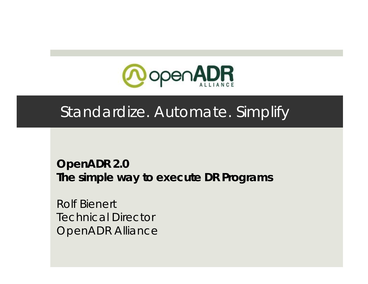

#### Standardize. Automate. Simplify

**OpenADR 2.0 The simple way to execute DR Programs**

Rolf BienertTechnical DirectorOpenADR Alliance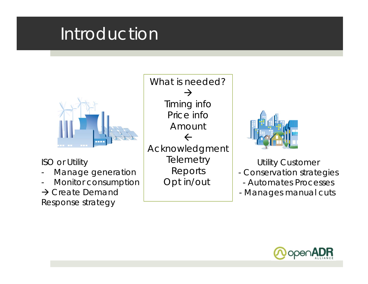### Introduction



ISO or Utility

- -Manage generation
- -Monitor consumption

 $\rightarrow$  Create Demand Response strategy

What is needed? $\rightarrow$ Timing info Price info Amount  $\leftarrow$ Acknowledgment **Telemetry** Reports Opt in/out



Utility Customer

- Conservation strategies
	- Automates Processes
- Manages manual cuts

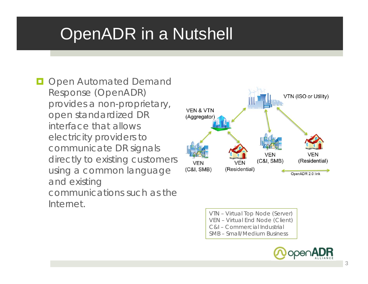# OpenADR in a Nutshell

**Open Automated Demand** Response (OpenADR) provides a non-proprietary, open standardized DR interface that allows electricity providers to communicate DR signals directly to existing customers using a common language and existing communications such as the Internet.



VTN – Virtual Top Node (Server) VEN – Virtual End Node (Client) C&I – Commercial IndustrialSMB – Small/Medium Business

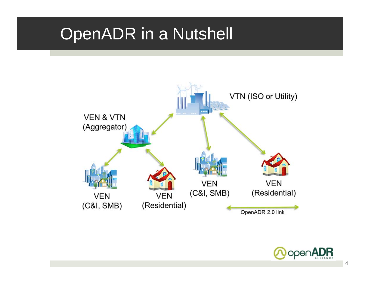#### OpenADR in a Nutshell



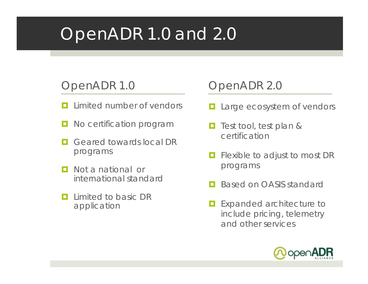# OpenADR 1.0 and 2.0

#### OpenADR 1.0

- $\blacksquare$ Limited number of vendors
- о No certification program
- п Geared towards local DR programs
- п Not a national or international standard
- п Limited to basic DR application

#### OpenADR 2.0

- о Large ecosystem of vendors
- O. Test tool, test plan & certification
- o Flexible to adjust to most DR programs
- о Based on OASIS standard
- $\Box$  Expanded architecture to include pricing, telemetry and other services

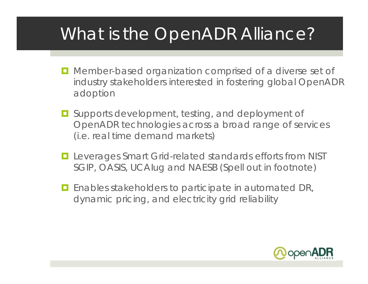# What is the OpenADR Alliance?

- **D** Member-based organization comprised of a diverse set of industry stakeholders interested in fostering global OpenADR adoption
- **E** Supports development, testing, and deployment of OpenADR technologies across a broad range of services (i.e. real time demand markets)
- **Leverages Smart Grid-related standards efforts from NIST** SGIP, OASIS, UCAIug and NAESB (Spell out in footnote)
- O. Enables stakeholders to participate in automated DR, dynamic pricing, and electricity grid reliability

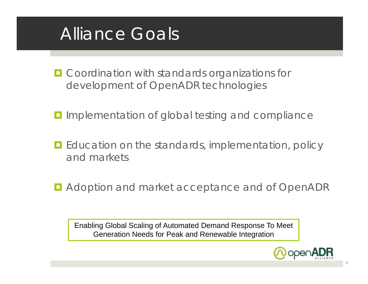#### Alliance Goals

- **O** Coordination with standards organizations for development of OpenADR technologies
- **I** Implementation of global testing and compliance
- **E** Education on the standards, implementation, policy and markets
- **D** Adoption and market acceptance and of OpenADR

Enabling Global Scaling of Automated Demand Response To Meet Generation Needs for Peak and Renewable Integration

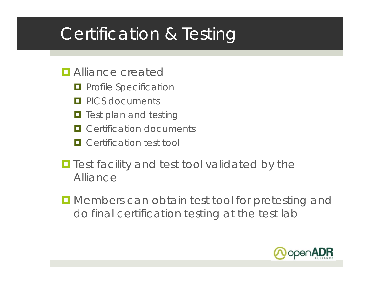# Certification & Testing

- **<u>E</u>** Alliance created
	- **<u>E</u>** Profile Specification
	- **PICS documents**
	- **T** Test plan and testing
	- **O** Certification documents
	- **O** Certification test tool
- **T** Test facility and test tool validated by the Alliance
- **I** Members can obtain test tool for pretesting and do final certification testing at the test lab

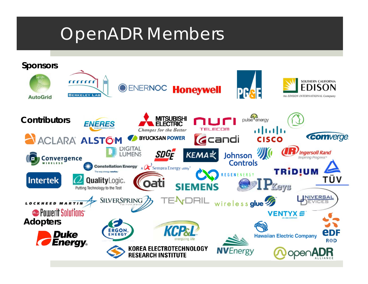### OpenADR Members

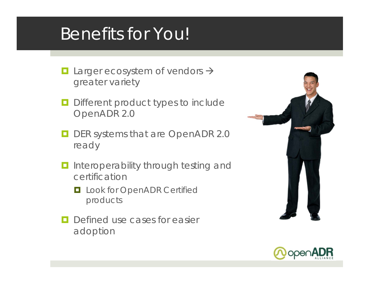### Benefits for You!

- $\Box$ **Larger ecosystem of vendors**  $\rightarrow$ greater variety
- $\Box$  Different product types to include OpenADR 2.0
- O. DER systems that are OpenADR 2.0 ready
- **I** Interoperability through testing and certification
	- **L** Look for OpenADR Certified products
- IоI Defined use cases for easier adoption



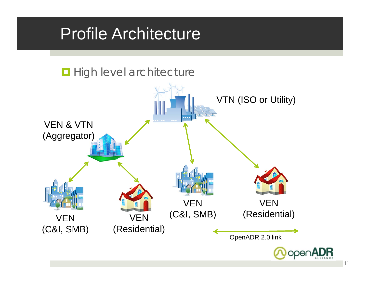#### Profile Architecture

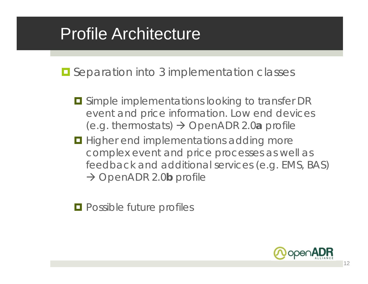# Profile Architecture

**E** Separation into 3 implementation classes

- $\blacksquare$  Simple implementations looking to transfer DR event and price information. Low end devices (e.g. thermostats) OpenADR 2.0**<sup>a</sup>** profile
- **Higher end implementations adding more** complex event and price processes as well as feedback and additional services (e.g. EMS, BAS) → OpenADR 2.0**b** profile

 $\blacksquare$  Possible future profiles

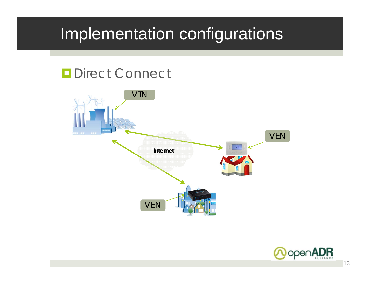#### **ODirect Connect**



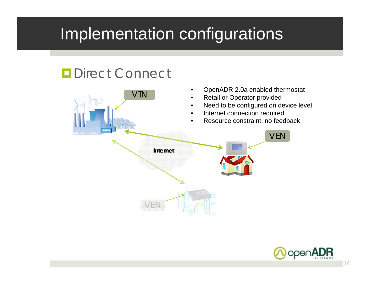#### **ODirect Connect**



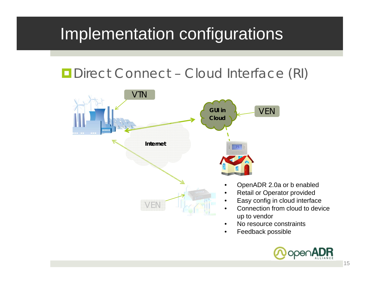#### **ODirect Connect - Cloud Interface (RI)**



- •No resource constraints
- •Feedback possible

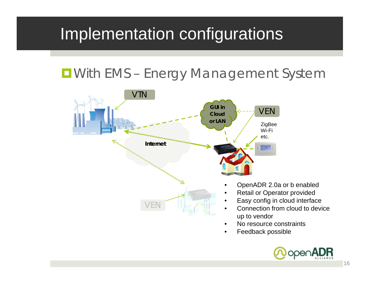#### **D** With EMS - Energy Management System



- •No resource constraints
- •Feedback possible

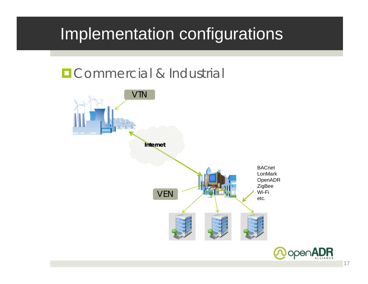#### **OCOMMERCIAL & Industrial**

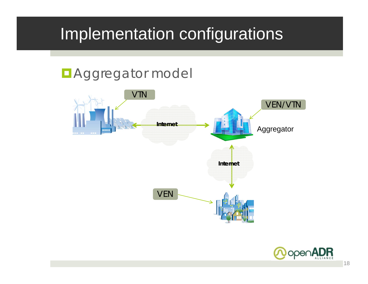#### **D**Aggregator model



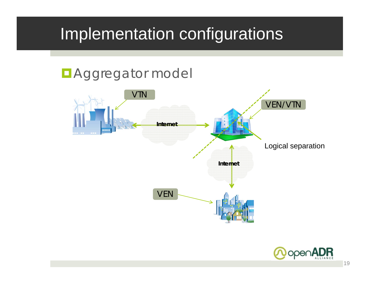# **D**Aggregator model VTN VEN **Internet Internet** VEN/VTN Logical separation